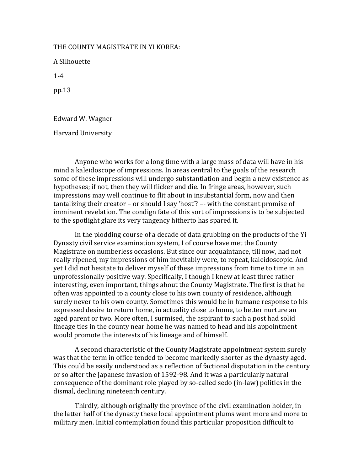## THE COUNTY MAGISTRATE IN YI KOREA:

A Silhouette

1-4

pp.13

Edward W. Wagner

Harvard University

Anyone who works for a long time with a large mass of data will have in his mind a kaleidoscope of impressions. In areas central to the goals of the research some of these impressions will undergo substantiation and begin a new existence as hypotheses; if not, then they will flicker and die. In fringe areas, however, such impressions may well continue to flit about in insubstantial form, now and then tantalizing their creator – or should I say 'host'? –- with the constant promise of imminent revelation. The condign fate of this sort of impressions is to be subjected to the spotlight glare its very tangency hitherto has spared it.

In the plodding course of a decade of data grubbing on the products of the Yi Dynasty civil service examination system, I of course have met the County Magistrate on numberless occasions. But since our acquaintance, till now, had not really ripened, my impressions of him inevitably were, to repeat, kaleidoscopic. And yet I did not hesitate to deliver myself of these impressions from time to time in an unprofessionally positive way. Specifically, I though I knew at least three rather interesting, even important, things about the County Magistrate. The first is that he often was appointed to a county close to his own county of residence, although surely never to his own county. Sometimes this would be in humane response to his expressed desire to return home, in actuality close to home, to better nurture an aged parent or two. More often, I surmised, the aspirant to such a post had solid lineage ties in the county near home he was named to head and his appointment would promote the interests of his lineage and of himself.

A second characteristic of the County Magistrate appointment system surely was that the term in office tended to become markedly shorter as the dynasty aged. This could be easily understood as a reflection of factional disputation in the century or so after the Japanese invasion of 1592-98. And it was a particularly natural consequence of the dominant role played by so-called sedo (in-law) politics in the dismal, declining nineteenth century.

Thirdly, although originally the province of the civil examination holder, in the latter half of the dynasty these local appointment plums went more and more to military men. Initial contemplation found this particular proposition difficult to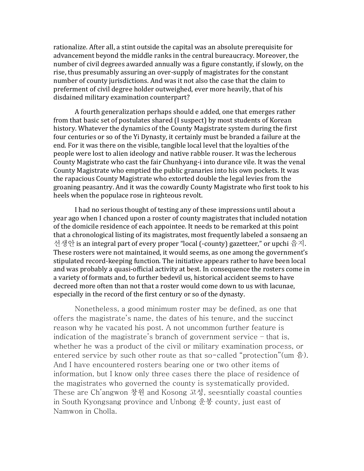rationalize. After all, a stint outside the capital was an absolute prerequisite for advancement beyond the middle ranks in the central bureaucracy. Moreover, the number of civil degrees awarded annually was a figure constantly, if slowly, on the rise, thus presumably assuring an over-supply of magistrates for the constant number of county jurisdictions. And was it not also the case that the claim to preferment of civil degree holder outweighed, ever more heavily, that of his disdained military examination counterpart?

A fourth generalization perhaps should e added, one that emerges rather from that basic set of postulates shared (I suspect) by most students of Korean history. Whatever the dynamics of the County Magistrate system during the first four centuries or so of the Yi Dynasty, it certainly must be branded a failure at the end. For it was there on the visible, tangible local level that the loyalties of the people were lost to alien ideology and native rabble rouser. It was the lecherous County Magistrate who cast the fair Chunhyang-i into durance vile. It was the venal County Magistrate who emptied the public granaries into his own pockets. It was the rapacious County Magistrate who extorted double the legal levies from the groaning peasantry. And it was the cowardly County Magistrate who first took to his heels when the populace rose in righteous revolt.

I had no serious thought of testing any of these impressions until about a year ago when I chanced upon a roster of county magistrates that included notation of the domicile residence of each appointee. It needs to be remarked at this point that a chronological listing of its magistrates, most frequently labeled a sonsaeng an 선생안 is an integral part of every proper "local (-county) gazetteer," or upchi 읍지. These rosters were not maintained, it would seems, as one among the government's stipulated record-keeping function. The initiative appears rather to have been local and was probably a quasi-official activity at best. In consequence the rosters come in a variety of formats and, to further bedevil us, historical accident seems to have decreed more often than not that a roster would come down to us with lacunae, especially in the record of the first century or so of the dynasty.

Nonetheless, a good minimum roster may be defined, as one that offers the magistrate's name, the dates of his tenure, and the succinct reason why he vacated his post. A not uncommon further feature is indication of the magistrate's branch of government service – that is, whether he was a product of the civil or military examination process, or entered service by such other route as that so-called "protection"(um 음). And I have encountered rosters bearing one or two other items of information, but I know only three cases there the place of residence of the magistrates who governed the county is systematically provided. These are Ch'angwon 창원 and Kosong 고성, seesntially coastal counties in South Kyongsang province and Unbong 운봉 county, just east of Namwon in Cholla.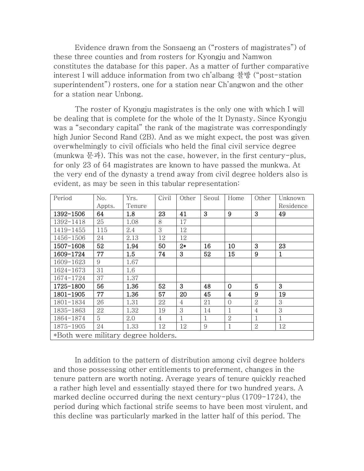Evidence drawn from the Sonsaeng an ("rosters of magistrates") of these three counties and from rosters for Kyongju and Namwon constitutes the database for this paper. As a matter of further comparative interest I will adduce information from two ch'albang 찰방 ("post-station superintendent") rosters, one for a station near Ch'angwon and the other for a station near Unbong.

The roster of Kyongju magistrates is the only one with which I will be dealing that is complete for the whole of the It Dynasty. Since Kyongju was a "secondary capital" the rank of the magistrate was correspondingly high Junior Second Rand (2B). And as we might expect, the post was given overwhelmingly to civil officials who held the final civil service degree (munkwa 문과). This was not the case, however, in the first century-plus, for only 23 of 64 magistrates are known to have passed the munkwa. At the very end of the dynasty a trend away from civil degree holders also is evident, as may be seen in this tabular representation:

| Period                              | No.    | Yrs.   | Civil | Other          | Seoul | Home                    | Other          | Unknown   |
|-------------------------------------|--------|--------|-------|----------------|-------|-------------------------|----------------|-----------|
|                                     | Appts. | Tenure |       |                |       |                         |                | Residence |
| 1392-1506                           | 64     | 1.8    | 23    | 41             | 3     | 9                       | 3              | 49        |
| 1392-1418                           | 25     | 1.08   | 8     | 17             |       |                         |                |           |
| 1419-1455                           | 115    | 2.4    | 3     | 12             |       |                         |                |           |
| 1456-1506                           | 24     | 2.13   | 12    | 12             |       |                         |                |           |
| 1507-1608                           | 52     | 1.94   | 50    | $2*$           | 16    | 10                      | 3              | 23        |
| 1609-1724                           | 77     | 1.5    | 74    | 3              | 52    | 15                      | 9              | 1         |
| 1609-1623                           | 9      | 1.67   |       |                |       |                         |                |           |
| 1624-1673                           | 31     | 1.6    |       |                |       |                         |                |           |
| 1674-1724                           | 37     | 1.37   |       |                |       |                         |                |           |
| 1725-1800                           | 56     | 1.36   | 52    | 3              | 48    | 0                       | 5              | 3         |
| 1801-1905                           | 77     | 1.36   | 57    | 20             | 45    | $\overline{\mathbf{4}}$ | 9              | 19        |
| 1801-1834                           | 26     | 1.31   | 22    | $\overline{4}$ | 21    | $\overline{0}$          | $\overline{2}$ | 3         |
| 1835-1863                           | 22     | 1.32   | 19    | 3              | 14    | 1                       | $\overline{4}$ | 3         |
| 1864-1874                           | 5      | 2.0    | 4     | 1              | 1     | $\overline{2}$          | $\mathbf{1}$   | 1         |
| 1875-1905                           | 24     | 1.33   | 12    | 12             | 9     | 1                       | $\overline{2}$ | 12        |
| *Both were military degree holders. |        |        |       |                |       |                         |                |           |

In addition to the pattern of distribution among civil degree holders and those possessing other entitlements to preferment, changes in the tenure pattern are worth noting. Average years of tenure quickly reached a rather high level and essentially stayed there for two hundred years. A marked decline occurred during the next century-plus (1709-1724), the period during which factional strife seems to have been most virulent, and this decline was particularly marked in the latter half of this period. The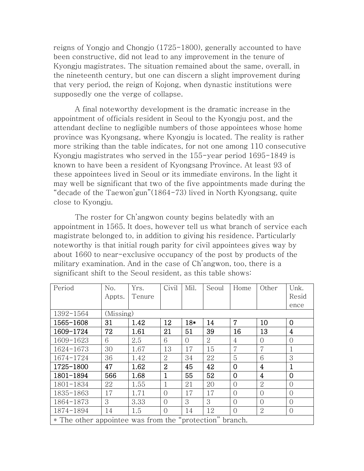reigns of Yongjo and Chongjo (1725-1800), generally accounted to have been constructive, did not lead to any improvement in the tenure of Kyongju magistrates. The situation remained about the same, overall, in the nineteenth century, but one can discern a slight improvement during that very period, the reign of Kojong, when dynastic institutions were supposedly one the verge of collapse.

A final noteworthy development is the dramatic increase in the appointment of officials resident in Seoul to the Kyongju post, and the attendant decline to negligible numbers of those appointees whose home province was Kyongsang, where Kyongju is located. The reality is rather more striking than the table indicates, for not one among 110 consecutive Kyongju magistrates who served in the 155-year period 1695-1849 is known to have been a resident of Kyongsang Province. At least 93 of these appointees lived in Seoul or its immediate environs. In the light it may well be significant that two of the five appointments made during the "decade of the Taewon'gun"(1864-73) lived in North Kyongsang, quite close to Kyongju.

The roster for Ch'angwon county begins belatedly with an appointment in 1565. It does, however tell us what branch of service each magistrate belonged to, in addition to giving his residence. Particularly noteworthy is that initial rough parity for civil appointees gives way by about 1660 to near-exclusive occupancy of the post by products of the military examination. And in the case of Ch'angwon, too, there is a significant shift to the Seoul resident, as this table shows:

| Period                                                  | No.       | Yrs.   | Civil          | Mil.      | Seoul | Home           | Other          | Unk.           |
|---------------------------------------------------------|-----------|--------|----------------|-----------|-------|----------------|----------------|----------------|
|                                                         | Appts.    | Tenure |                |           |       |                |                | Resid          |
|                                                         |           |        |                |           |       |                |                | ence           |
| 1392-1564                                               | (Missing) |        |                |           |       |                |                |                |
| 1565-1608                                               | 31        | 1.42   | 12             | $18*$     | 14    | $\overline{7}$ | 10             | $\overline{0}$ |
| 1609-1724                                               | 72        | 1.61   | 21             | 51        | 39    | 16             | 13             | $\overline{4}$ |
| 1609-1623                                               | 6         | 2.5    | 6              | $\bigcap$ | 2     | 4              | $\Omega$       | $\bigcirc$     |
| 1624-1673                                               | 30        | 1.67   | 13             | 17        | 15    | $\overline{7}$ | $\overline{7}$ | $\mathbf{1}$   |
| 1674-1724                                               | 36        | 1.42   | $\overline{2}$ | 34        | 22    | 5              | 6              | 3              |
| 1725-1800                                               | 47        | 1.62   | $\overline{2}$ | 45        | 42    | $\overline{0}$ | $\overline{4}$ | $\mathbf{1}$   |
| 1801-1894                                               | 566       | 1.68   | 1              | 55        | 52    | $\Omega$       | $\overline{4}$ | $\overline{0}$ |
| 1801-1834                                               | 22        | 1.55   | 1              | 21        | 20    | $\Omega$       | $\overline{2}$ | $\overline{0}$ |
| 1835-1863                                               | 17        | 1.71   | $\bigcirc$     | 17        | 17    | $\Omega$       | $\bigcirc$     | $\overline{0}$ |
| 1864-1873                                               | 3         | 3.33   | $\bigcirc$     | 3         | 3     | $\bigcirc$     | $\Omega$       | $\Omega$       |
| 1874-1894                                               | 14        | 1.5    | $\Omega$       | 14        | 12    | $\Omega$       | $\overline{2}$ | $\overline{0}$ |
| * The other appointee was from the "protection" branch. |           |        |                |           |       |                |                |                |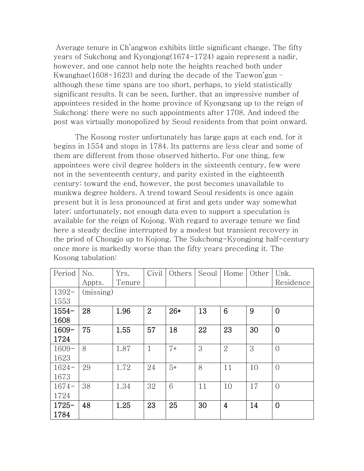Average tenure in Ch'angwon exhibits little significant change. The fifty years of Sukchong and Kyongjong(1674-1724) again represent a nadir, however, and one cannot help note the heights reached both under Kwanghae(1608-1623) and during the decade of the Taewon'gun – although these time spans are too short, perhaps, to yield statistically significant results. It can be seen, further, that an impressive number of appointees resided in the home province of Kyongsang up to the reign of Sukchong: there were no such appointments after 1708. And indeed the post was virtually monopolized by Seoul residents from that point onward.

The Kosong roster unfortunately has large gaps at each end, for it begins in 1554 and stops in 1784. Its patterns are less clear and some of them are different from those observed hitherto. For one thing, few appointees were civil degree holders in the sixteenth century, few were not in the seventeenth century, and parity existed in the eighteenth century: toward the end, however, the post becomes unavailable to munkwa degree holders. A trend toward Seoul residents is once again present but it is less pronounced at first and gets under way somewhat later; unfortunately, not enough data even to support a speculation is available for the reign of Kojong. With regard to average tenure we find here a steady decline interrupted by a modest but transient recovery in the priod of Chongjo up to Kojong. The Sukchong-Kyongjong half-century once more is markedly worse than the fifty years preceding it. The Kosong tabulation:

| Period   | No.       | Yrs.   | Civil          | Others | Seoul | Home           | Other | Unk.           |  |  |  |  |
|----------|-----------|--------|----------------|--------|-------|----------------|-------|----------------|--|--|--|--|
|          | Appts.    | Tenure |                |        |       |                |       | Residence      |  |  |  |  |
| $1392-$  | (missing) |        |                |        |       |                |       |                |  |  |  |  |
| 1553     |           |        |                |        |       |                |       |                |  |  |  |  |
| $1554-$  | 28        | 1.96   | $\overline{2}$ | $26*$  | 13    | 6              | 9     | $\overline{0}$ |  |  |  |  |
| 1608     |           |        |                |        |       |                |       |                |  |  |  |  |
| $1609 -$ | 75        | 1.55   | 57             | 18     | 22    | 23             | 30    | $\overline{0}$ |  |  |  |  |
| 1724     |           |        |                |        |       |                |       |                |  |  |  |  |
| $1609-$  | 8         | 1.87   | $\mathbf{1}$   | $7*$   | 3     | $\overline{2}$ | 3     | $\Omega$       |  |  |  |  |
| 1623     |           |        |                |        |       |                |       |                |  |  |  |  |
| $1624 -$ | 29        | 1.72   | 24             | $5*$   | 8     | 11             | 10    | $\overline{0}$ |  |  |  |  |
| 1673     |           |        |                |        |       |                |       |                |  |  |  |  |
| $1674-$  | 38        | 1.34   | 32             | 6      | 11    | 10             | 17    | $\bigcirc$     |  |  |  |  |
| 1724     |           |        |                |        |       |                |       |                |  |  |  |  |
| $1725 -$ | 48        | 1.25   | 23             | 25     | 30    | $\overline{4}$ | 14    | $\Omega$       |  |  |  |  |
| 1784     |           |        |                |        |       |                |       |                |  |  |  |  |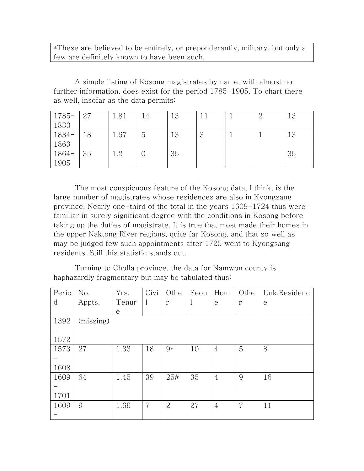\*These are believed to be entirely, or preponderantly, military, but only a few are definitely known to have been such.

A simple listing of Kosong magistrates by name, with almost no further information, does exist for the period 1785-1905. To chart there as well, insofar as the data permits:

| $1785 -$ | 27 | 1.81 | 14             | 13 | 11 |  | 13 |
|----------|----|------|----------------|----|----|--|----|
| 1833     |    |      |                |    |    |  |    |
| $1834-$  | 18 | 1.67 | $\overline{5}$ | 13 | 3  |  | 13 |
| 1863     |    |      |                |    |    |  |    |
| $1864-$  | 35 | 1.2  |                | 35 |    |  | 35 |
| 1905     |    |      |                |    |    |  |    |

The most conspicuous feature of the Kosong data, I think, is the large number of magistrates whose residences are also in Kyongsang province. Nearly one-third of the total in the years 1609-1724 thus were familiar in surely significant degree with the conditions in Kosong before taking up the duties of magistrate. It is true that most made their homes in the upper Naktong River regions, quite far Kosong, and that so well as may be judged few such appointments after 1725 went to Kyongsang residents. Still this statistic stands out.

Turning to Cholla province, the data for Namwon county is haphazardly fragmentary but may be tabulated thus:

| Perio | No.       | Yrs.         | Civi           | Othe           | Seou    | Hom            | Othe | Unk.Residenc |
|-------|-----------|--------------|----------------|----------------|---------|----------------|------|--------------|
| d     | Appts.    | Tenur        | $\perp$        | r              | $\perp$ | e              | r    | e            |
|       |           | $\mathsf{e}$ |                |                |         |                |      |              |
| 1392  | (missing) |              |                |                |         |                |      |              |
|       |           |              |                |                |         |                |      |              |
| 1572  |           |              |                |                |         |                |      |              |
| 1573  | 27        | 1.33         | 18             | 9*             | 10      | 4              | 5    | 8            |
|       |           |              |                |                |         |                |      |              |
| 1608  |           |              |                |                |         |                |      |              |
| 1609  | 64        | 1.45         | 39             | 25#            | 35      | $\overline{4}$ | 9    | 16           |
|       |           |              |                |                |         |                |      |              |
| 1701  |           |              |                |                |         |                |      |              |
| 1609  | 9         | 1.66         | $\overline{7}$ | $\overline{2}$ | 27      | $\overline{4}$ | 7    | 11           |
|       |           |              |                |                |         |                |      |              |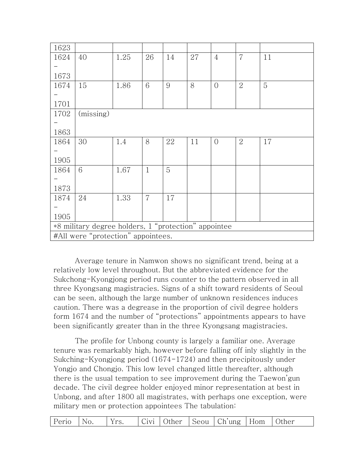| 1623 |                                                      |      |                |    |    |                |                |    |
|------|------------------------------------------------------|------|----------------|----|----|----------------|----------------|----|
| 1624 | 40                                                   | 1.25 | 26             | 14 | 27 | $\overline{4}$ | $\overline{7}$ | 11 |
|      |                                                      |      |                |    |    |                |                |    |
| 1673 |                                                      |      |                |    |    |                |                |    |
| 1674 | 15                                                   | 1.86 | 6              | 9  | 8  | $\overline{O}$ | $\overline{2}$ | 5  |
|      |                                                      |      |                |    |    |                |                |    |
| 1701 |                                                      |      |                |    |    |                |                |    |
| 1702 | (missing)                                            |      |                |    |    |                |                |    |
|      |                                                      |      |                |    |    |                |                |    |
| 1863 |                                                      |      |                |    |    |                |                |    |
| 1864 | 30                                                   | 1.4  | 8              | 22 | 11 | $\overline{0}$ | $\overline{2}$ | 17 |
|      |                                                      |      |                |    |    |                |                |    |
| 1905 |                                                      |      |                |    |    |                |                |    |
| 1864 | 6                                                    | 1.67 | $\mathbf{1}$   | 5  |    |                |                |    |
|      |                                                      |      |                |    |    |                |                |    |
| 1873 |                                                      |      |                |    |    |                |                |    |
| 1874 | 24                                                   | 1.33 | $\overline{7}$ | 17 |    |                |                |    |
|      |                                                      |      |                |    |    |                |                |    |
| 1905 |                                                      |      |                |    |    |                |                |    |
|      | *8 military degree holders, 1 "protection" appointee |      |                |    |    |                |                |    |
|      | #All were "protection" appointees.                   |      |                |    |    |                |                |    |

Average tenure in Namwon shows no significant trend, being at a relatively low level throughout. But the abbreviated evidence for the Sukchong-Kyongjong period runs counter to the pattern observed in all three Kyongsang magistracies. Signs of a shift toward residents of Seoul can be seen, although the large number of unknown residences induces caution. There was a degrease in the proportion of civil degree holders form 1674 and the number of "protections" appointments appears to have been significantly greater than in the three Kyongsang magistracies.

The profile for Unbong county is largely a familiar one. Average tenure was remarkably high, however before falling off inly slightly in the Sukching-Kyongjong period (1674-1724) and then precipitously under Yongjo and Chongjo. This low level changed little thereafter, although there is the usual tempation to see improvement during the Taewon'gun decade. The civil degree holder enjoyed minor representation at best in Unbong, and after 1800 all magistrates, with perhaps one exception, were military men or protection appointees The tabulation:

|  | Perio No. |  | Yrs. |  |  |  | Civi   Other   Seou   Ch'ung   Hom   Other |  |  |
|--|-----------|--|------|--|--|--|--------------------------------------------|--|--|
|--|-----------|--|------|--|--|--|--------------------------------------------|--|--|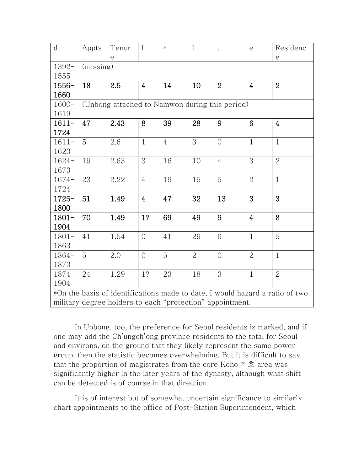| $\mathbf d$ | Appts                                          | Tenur | $\mathbf{l}$   | $\ast$         | $\mathbf{1}$   | $\ddot{\phantom{a}}$                                      | $\mathsf{e}$            | Residenc                                                                     |  |  |  |  |
|-------------|------------------------------------------------|-------|----------------|----------------|----------------|-----------------------------------------------------------|-------------------------|------------------------------------------------------------------------------|--|--|--|--|
|             |                                                | e     |                |                |                |                                                           |                         | $\mathop{\mathrm{e}}$                                                        |  |  |  |  |
| $1392-$     | (missing)                                      |       |                |                |                |                                                           |                         |                                                                              |  |  |  |  |
| 1555        |                                                |       |                |                |                |                                                           |                         |                                                                              |  |  |  |  |
| $1556-$     | 18                                             | 2.5   | $\overline{4}$ | 14             | 10             | $\overline{2}$                                            | 4                       | $\overline{2}$                                                               |  |  |  |  |
| 1660        |                                                |       |                |                |                |                                                           |                         |                                                                              |  |  |  |  |
| $1600 -$    | (Unbong attached to Namwon during this period) |       |                |                |                |                                                           |                         |                                                                              |  |  |  |  |
| 1619        |                                                |       |                |                |                |                                                           |                         |                                                                              |  |  |  |  |
| $1611-$     | 47                                             | 2.43  | 8              | 39             | 28             | 9                                                         | $6\phantom{1}$          | $\overline{4}$                                                               |  |  |  |  |
| 1724        |                                                |       |                |                |                |                                                           |                         |                                                                              |  |  |  |  |
| $1611-$     | 5                                              | 2.6   | $\mathbf{1}$   | $\overline{4}$ | 3              | $\overline{O}$                                            | $\mathbf{1}$            | $\mathbf{1}$                                                                 |  |  |  |  |
| 1623        |                                                |       |                |                |                |                                                           |                         |                                                                              |  |  |  |  |
| $1624 -$    | 19                                             | 2.63  | 3              | 16             | 10             | $\overline{4}$                                            | 3                       | $\overline{2}$                                                               |  |  |  |  |
| 1673        |                                                |       |                |                |                |                                                           |                         |                                                                              |  |  |  |  |
| $1674-$     | 23                                             | 2.22  | $\overline{4}$ | 19             | 15             | 5                                                         | $\overline{2}$          | $\mathbf{1}$                                                                 |  |  |  |  |
| 1724        |                                                |       |                |                |                |                                                           |                         |                                                                              |  |  |  |  |
| $1725 -$    | 51                                             | 1.49  | $\overline{4}$ | 47             | 32             | 13                                                        | 3                       | 3                                                                            |  |  |  |  |
| 1800        |                                                |       |                |                |                |                                                           |                         |                                                                              |  |  |  |  |
| $1801 -$    | 70                                             | 1.49  | 1?             | 69             | 49             | 9                                                         | $\overline{\mathbf{4}}$ | 8                                                                            |  |  |  |  |
| 1904        |                                                |       |                |                |                |                                                           |                         |                                                                              |  |  |  |  |
| $1801 -$    | 41                                             | 1.54  | $\overline{0}$ | 41             | 29             | 6                                                         | $\mathbf{1}$            | 5                                                                            |  |  |  |  |
| 1863        |                                                |       |                |                |                |                                                           |                         |                                                                              |  |  |  |  |
| $1864-$     | 5                                              | 2.0   | $\overline{0}$ | 5              | $\overline{2}$ | $\overline{O}$                                            | $\overline{2}$          | $\mathbf{1}$                                                                 |  |  |  |  |
| 1873        |                                                |       |                |                |                |                                                           |                         |                                                                              |  |  |  |  |
| $1874-$     | 24                                             | 1.29  | 1?             | 23             | 18             | 3                                                         | $\mathbf{1}$            | $\overline{2}$                                                               |  |  |  |  |
| 1904        |                                                |       |                |                |                |                                                           |                         |                                                                              |  |  |  |  |
|             |                                                |       |                |                |                |                                                           |                         | *On the basis of identifications made to date, I would hazard a ratio of two |  |  |  |  |
|             |                                                |       |                |                |                | military degree holders to each "protection" appointment. |                         |                                                                              |  |  |  |  |

In Unbong, too, the preference for Seoul residents is marked, and if one may add the Ch'ungch'ong province residents to the total for Seoul and environs, on the ground that they likely represent the same power group, then the statistic becomes overwhelming. But it is difficult to say that the proportion of magistrates from the core Koho 기호 area was significantly higher in the later years of the dynasty, although what shift can be detected is of course in that direction.

It is of interest but of somewhat uncertain significance to similarly chart appointments to the office of Post-Station Superintendent, which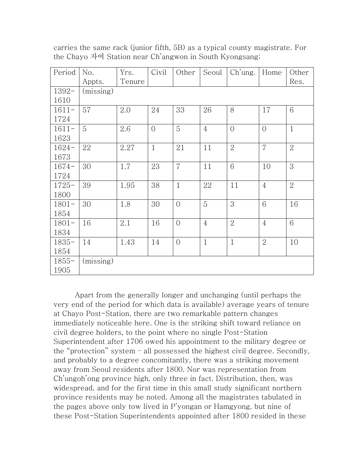| Period   | No.       | Yrs.   | Civil          | Other          | Seoul          | Ch'ung.        | Home           | Other          |
|----------|-----------|--------|----------------|----------------|----------------|----------------|----------------|----------------|
|          | Appts.    | Tenure |                |                |                |                |                | Res.           |
| $1392 -$ | (missing) |        |                |                |                |                |                |                |
| 1610     |           |        |                |                |                |                |                |                |
| $1611-$  | 57        | 2.0    | 24             | 33             | 26             | 8              | 17             | 6              |
| 1724     |           |        |                |                |                |                |                |                |
| $1611-$  | 5         | 2.6    | $\overline{O}$ | 5              | $\overline{4}$ | $\overline{0}$ | $\overline{O}$ | $\mathbf{1}$   |
| 1623     |           |        |                |                |                |                |                |                |
| $1624-$  | 22        | 2.27   | $\mathbf{1}$   | 21             | 11             | $\overline{2}$ | $\overline{7}$ | $\overline{2}$ |
| 1673     |           |        |                |                |                |                |                |                |
| $1674-$  | 30        | 1.7    | 23             | $\overline{7}$ | 11             | 6              | 10             | 3              |
| 1724     |           |        |                |                |                |                |                |                |
| $1725 -$ | 39        | 1.95   | 38             | $\mathbf{1}$   | 22             | 11             | $\overline{4}$ | $\overline{2}$ |
| 1800     |           |        |                |                |                |                |                |                |
| $1801 -$ | 30        | 1.8    | 30             | $\Omega$       | 5              | 3              | 6              | 16             |
| 1854     |           |        |                |                |                |                |                |                |
| $1801 -$ | 16        | 2.1    | 16             | $\overline{0}$ | $\overline{4}$ | $\overline{2}$ | $\overline{4}$ | 6              |
| 1834     |           |        |                |                |                |                |                |                |
| $1835 -$ | 14        | 1.43   | 14             | $\overline{0}$ | $\mathbf{1}$   | $\mathbf{1}$   | $\overline{2}$ | 10             |
| 1854     |           |        |                |                |                |                |                |                |
| $1855 -$ | (missing) |        |                |                |                |                |                |                |
| 1905     |           |        |                |                |                |                |                |                |

carries the same rack (junior fifth, 5B) as a typical county magistrate. For the Chayo 자여 Station near Ch'angwon in South Kyongsang;

Apart from the generally longer and unchanging (until perhaps the very end of the period for which data is available) average years of tenure at Chayo Post-Station, there are two remarkable pattern changes immediately noticeable here. One is the striking shift toward reliance on civil degree holders, to the point where no single Post-Station Superintendent after 1706 owed his appointment to the military degree or the "protection" system – all possessed the highest civil degree. Secondly, and probably to a degree concomitantly, there was a striking movement away from Seoul residents after 1800. Nor was representation from Ch'ungoh'ong province high, only three in fact. Distribution, then, was widespread, and for the first time in this small study significant northern province residents may be noted. Among all the magistrates tabulated in the pages above only tow lived in P'yongan or Hamgyong, but nine of these Post-Station Superintendents appointed after 1800 resided in these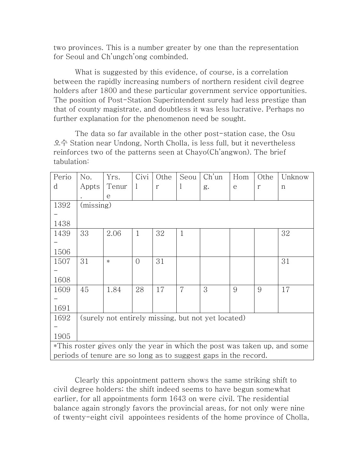two provinces. This is a number greater by one than the representation for Seoul and Ch'ungch'ong combinded.

What is suggested by this evidence, of course, is a correlation between the rapidly increasing numbers of northern resident civil degree holders after 1800 and these particular government service opportunities. The position of Post-Station Superintendent surely had less prestige than that of county magistrate, and doubtless it was less lucrative. Perhaps no further explanation for the phenomenon need be sought.

The data so far available in the other post-station case, the Osu 오수 Station near Undong, North Cholla, is less full, but it nevertheless reinforces two of the patterns seen at Chayo(Ch'angwon). The brief tabulation:

| Perio | No.                                                | Yrs.   | Civi         | Othe         | Seou           | Ch'un                                                           | Hom | Othe | Unknow                                                                    |  |  |
|-------|----------------------------------------------------|--------|--------------|--------------|----------------|-----------------------------------------------------------------|-----|------|---------------------------------------------------------------------------|--|--|
| d     | Appts                                              | Tenur  | $\mathbf{1}$ | $\mathbf{r}$ |                | g.                                                              | e   | r    | n                                                                         |  |  |
|       |                                                    | e      |              |              |                |                                                                 |     |      |                                                                           |  |  |
| 1392  | (missing)                                          |        |              |              |                |                                                                 |     |      |                                                                           |  |  |
|       |                                                    |        |              |              |                |                                                                 |     |      |                                                                           |  |  |
| 1438  |                                                    |        |              |              |                |                                                                 |     |      |                                                                           |  |  |
| 1439  | 33                                                 | 2.06   | $\mathbf{1}$ | 32           | $\mathbf{1}$   |                                                                 |     |      | 32                                                                        |  |  |
|       |                                                    |        |              |              |                |                                                                 |     |      |                                                                           |  |  |
| 1506  |                                                    |        |              |              |                |                                                                 |     |      |                                                                           |  |  |
| 1507  | 31                                                 | $\ast$ | $\Omega$     | 31           |                |                                                                 |     |      | 31                                                                        |  |  |
|       |                                                    |        |              |              |                |                                                                 |     |      |                                                                           |  |  |
| 1608  |                                                    |        |              |              |                |                                                                 |     |      |                                                                           |  |  |
| 1609  | 45                                                 | 1.84   | 28           | 17           | $\overline{7}$ | 3                                                               | 9   | 9    | 17                                                                        |  |  |
|       |                                                    |        |              |              |                |                                                                 |     |      |                                                                           |  |  |
| 1691  |                                                    |        |              |              |                |                                                                 |     |      |                                                                           |  |  |
| 1692  | (surely not entirely missing, but not yet located) |        |              |              |                |                                                                 |     |      |                                                                           |  |  |
|       |                                                    |        |              |              |                |                                                                 |     |      |                                                                           |  |  |
| 1905  |                                                    |        |              |              |                |                                                                 |     |      |                                                                           |  |  |
|       |                                                    |        |              |              |                |                                                                 |     |      | *This roster gives only the year in which the post was taken up, and some |  |  |
|       |                                                    |        |              |              |                | periods of tenure are so long as to suggest gaps in the record. |     |      |                                                                           |  |  |

Clearly this appointment pattern shows the same striking shift to civil degree holders; the shift indeed seems to have begun somewhat earlier, for all appointments form 1643 on were civil. The residential balance again strongly favors the provincial areas, for not only were nine of twenty-eight civil appointees residents of the home province of Cholla,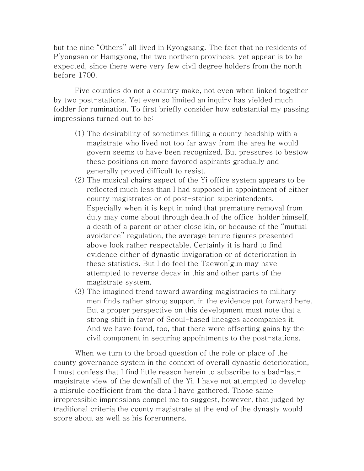but the nine "Others" all lived in Kyongsang. The fact that no residents of P'yongsan or Hamgyong, the two northern provinces, yet appear is to be expected, since there were very few civil degree holders from the north before 1700.

Five counties do not a country make, not even when linked together by two post-stations. Yet even so limited an inquiry has yielded much fodder for rumination. To first briefly consider how substantial my passing impressions turned out to be:

- (1) The desirability of sometimes filling a county headship with a magistrate who lived not too far away from the area he would govern seems to have been recognized. But pressures to bestow these positions on more favored aspirants gradually and generally proved difficult to resist.
- (2) The musical chairs aspect of the Yi office system appears to be reflected much less than I had supposed in appointment of either county magistrates or of post-station superintendents. Especially when it is kept in mind that premature removal from duty may come about through death of the office-holder himself, a death of a parent or other close kin, or because of the "mutual avoidance" regulation, the average tenure figures presented above look rather respectable. Certainly it is hard to find evidence either of dynastic invigoration or of deterioration in these statistics. But I do feel the Taewon'gun may have attempted to reverse decay in this and other parts of the magistrate system.
- (3) The imagined trend toward awarding magistracies to military men finds rather strong support in the evidence put forward here. But a proper perspective on this development must note that a strong shift in favor of Seoul-based lineages accompanies it. And we have found, too, that there were offsetting gains by the civil component in securing appointments to the post-stations.

When we turn to the broad question of the role or place of the county governance system in the context of overall dynastic deterioration, I must confess that I find little reason herein to subscribe to a bad-lastmagistrate view of the downfall of the Yi. I have not attempted to develop a misrule coefficient from the data I have gathered. Those same irrepressible impressions compel me to suggest, however, that judged by traditional criteria the county magistrate at the end of the dynasty would score about as well as his forerunners.